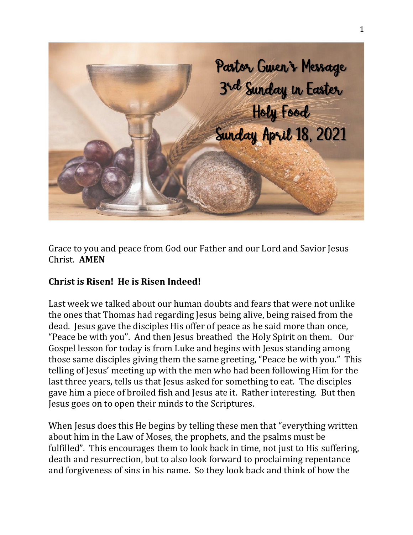

Grace to you and peace from God our Father and our Lord and Savior Jesus Christ. **AMEN**

## **Christ is Risen! He is Risen Indeed!**

Last week we talked about our human doubts and fears that were not unlike the ones that Thomas had regarding Jesus being alive, being raised from the dead. Jesus gave the disciples His offer of peace as he said more than once, "Peace be with you". And then Jesus breathed the Holy Spirit on them. Our Gospel lesson for today is from Luke and begins with Jesus standing among those same disciples giving them the same greeting, "Peace be with you." This telling of Jesus' meeting up with the men who had been following Him for the last three years, tells us that Jesus asked for something to eat. The disciples gave him a piece of broiled fish and Jesus ate it. Rather interesting. But then Jesus goes on to open their minds to the Scriptures.

When Jesus does this He begins by telling these men that "everything written about him in the Law of Moses, the prophets, and the psalms must be fulfilled". This encourages them to look back in time, not just to His suffering, death and resurrection, but to also look forward to proclaiming repentance and forgiveness of sins in his name. So they look back and think of how the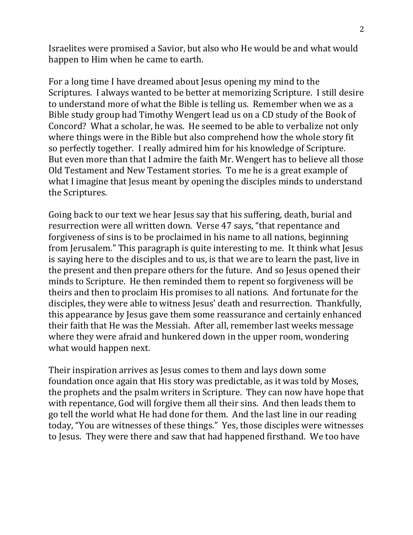Israelites were promised a Savior, but also who He would be and what would happen to Him when he came to earth.

For a long time I have dreamed about Jesus opening my mind to the Scriptures. I always wanted to be better at memorizing Scripture. I still desire to understand more of what the Bible is telling us. Remember when we as a Bible study group had Timothy Wengert lead us on a CD study of the Book of Concord? What a scholar, he was. He seemed to be able to verbalize not only where things were in the Bible but also comprehend how the whole story fit so perfectly together. I really admired him for his knowledge of Scripture. But even more than that I admire the faith Mr. Wengert has to believe all those Old Testament and New Testament stories. To me he is a great example of what I imagine that Jesus meant by opening the disciples minds to understand the Scriptures.

Going back to our text we hear Jesus say that his suffering, death, burial and resurrection were all written down. Verse 47 says, "that repentance and forgiveness of sins is to be proclaimed in his name to all nations, beginning from Jerusalem." This paragraph is quite interesting to me. It think what Jesus is saying here to the disciples and to us, is that we are to learn the past, live in the present and then prepare others for the future. And so Jesus opened their minds to Scripture. He then reminded them to repent so forgiveness will be theirs and then to proclaim His promises to all nations. And fortunate for the disciples, they were able to witness Jesus' death and resurrection. Thankfully, this appearance by Jesus gave them some reassurance and certainly enhanced their faith that He was the Messiah. After all, remember last weeks message where they were afraid and hunkered down in the upper room, wondering what would happen next.

Their inspiration arrives as Jesus comes to them and lays down some foundation once again that His story was predictable, as it was told by Moses, the prophets and the psalm writers in Scripture. They can now have hope that with repentance, God will forgive them all their sins. And then leads them to go tell the world what He had done for them. And the last line in our reading today, "You are witnesses of these things." Yes, those disciples were witnesses to Jesus. They were there and saw that had happened firsthand. We too have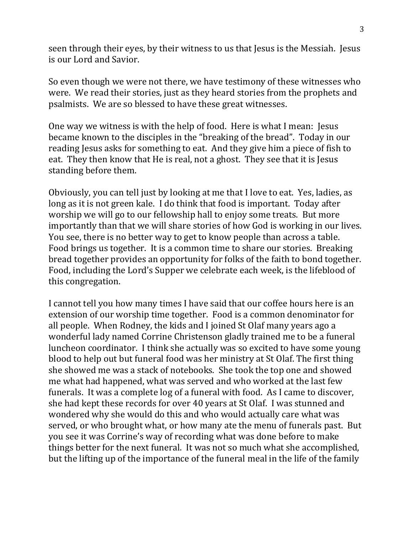seen through their eyes, by their witness to us that Jesus is the Messiah. Jesus is our Lord and Savior.

So even though we were not there, we have testimony of these witnesses who were. We read their stories, just as they heard stories from the prophets and psalmists. We are so blessed to have these great witnesses.

One way we witness is with the help of food. Here is what I mean: Jesus became known to the disciples in the "breaking of the bread". Today in our reading Jesus asks for something to eat. And they give him a piece of fish to eat. They then know that He is real, not a ghost. They see that it is Jesus standing before them.

Obviously, you can tell just by looking at me that I love to eat. Yes, ladies, as long as it is not green kale. I do think that food is important. Today after worship we will go to our fellowship hall to enjoy some treats. But more importantly than that we will share stories of how God is working in our lives. You see, there is no better way to get to know people than across a table. Food brings us together. It is a common time to share our stories. Breaking bread together provides an opportunity for folks of the faith to bond together. Food, including the Lord's Supper we celebrate each week, is the lifeblood of this congregation.

I cannot tell you how many times I have said that our coffee hours here is an extension of our worship time together. Food is a common denominator for all people. When Rodney, the kids and I joined St Olaf many years ago a wonderful lady named Corrine Christenson gladly trained me to be a funeral luncheon coordinator. I think she actually was so excited to have some young blood to help out but funeral food was her ministry at St Olaf. The first thing she showed me was a stack of notebooks. She took the top one and showed me what had happened, what was served and who worked at the last few funerals. It was a complete log of a funeral with food. As I came to discover, she had kept these records for over 40 years at St Olaf. I was stunned and wondered why she would do this and who would actually care what was served, or who brought what, or how many ate the menu of funerals past. But you see it was Corrine's way of recording what was done before to make things better for the next funeral. It was not so much what she accomplished, but the lifting up of the importance of the funeral meal in the life of the family